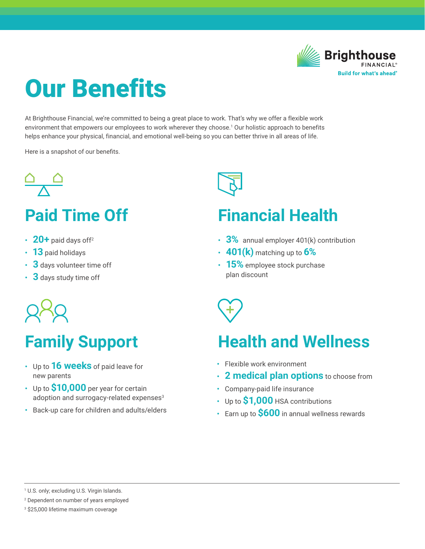

# Our Benefits

At Brighthouse Financial, we're committed to being a great place to work. That's why we offer a flexible work environment that empowers our employees to work wherever they choose.1 Our holistic approach to benefits helps enhance your physical, financial, and emotional well-being so you can better thrive in all areas of life.

Here is a snapshot of our benefits.



## **Paid Time Off**

- **• 20+** paid days off2
- **• 13** paid holidays
- **• 3** days volunteer time off
- **• 3** days study time off



## **Family Support**

- **•** Up to **16 weeks** of paid leave for new parents
- **•** Up to **\$10,000** per year for certain adoption and surrogacy-related expenses<sup>3</sup>
- **•** Back-up care for children and adults/elders



### **Financial Health**

- **• 3%** annual employer 401(k) contribution
- **• 401(k)** matching up to **6%**
- **• 15%** employee stock purchase plan discount



### **Health and Wellness**

- **•** Flexible work environment
- **• 2 medical plan options** to choose from
- **•** Company-paid life insurance
- **•** Up to **\$1,000** HSA contributions
- **•** Earn up to **\$600** in annual wellness rewards

1 U.S. only; excluding U.S. Virgin Islands.

2 Dependent on number of years employed

3 \$25,000 lifetime maximum coverage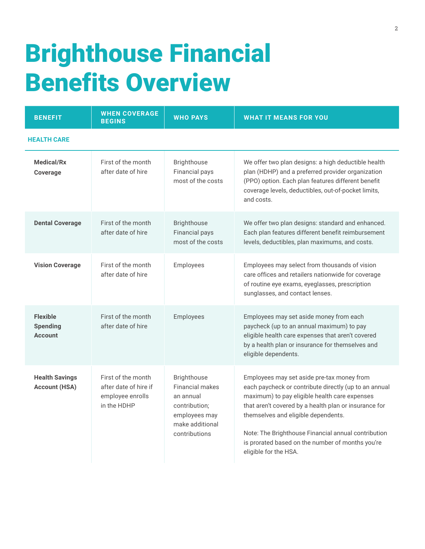# Brighthouse Financial Benefits Overview

| <b>BENEFIT</b>                                       | <b>WHEN COVERAGE</b><br><b>BEGINS</b>                                          | <b>WHO PAYS</b>                                                                                                          | <b>WHAT IT MEANS FOR YOU</b>                                                                                                                                                                                                                                                                                                                                                             |
|------------------------------------------------------|--------------------------------------------------------------------------------|--------------------------------------------------------------------------------------------------------------------------|------------------------------------------------------------------------------------------------------------------------------------------------------------------------------------------------------------------------------------------------------------------------------------------------------------------------------------------------------------------------------------------|
| <b>HEALTH CARE</b>                                   |                                                                                |                                                                                                                          |                                                                                                                                                                                                                                                                                                                                                                                          |
| <b>Medical/Rx</b><br>Coverage                        | First of the month<br>after date of hire                                       | Brighthouse<br>Financial pays<br>most of the costs                                                                       | We offer two plan designs: a high deductible health<br>plan (HDHP) and a preferred provider organization<br>(PPO) option. Each plan features different benefit<br>coverage levels, deductibles, out-of-pocket limits,<br>and costs.                                                                                                                                                      |
| <b>Dental Coverage</b>                               | First of the month<br>after date of hire                                       | <b>Brighthouse</b><br><b>Financial pays</b><br>most of the costs                                                         | We offer two plan designs: standard and enhanced.<br>Each plan features different benefit reimbursement<br>levels, deductibles, plan maximums, and costs.                                                                                                                                                                                                                                |
| <b>Vision Coverage</b>                               | First of the month<br>after date of hire                                       | Employees                                                                                                                | Employees may select from thousands of vision<br>care offices and retailers nationwide for coverage<br>of routine eye exams, eyeglasses, prescription<br>sunglasses, and contact lenses.                                                                                                                                                                                                 |
| <b>Flexible</b><br><b>Spending</b><br><b>Account</b> | First of the month<br>after date of hire                                       | Employees                                                                                                                | Employees may set aside money from each<br>paycheck (up to an annual maximum) to pay<br>eligible health care expenses that aren't covered<br>by a health plan or insurance for themselves and<br>eligible dependents.                                                                                                                                                                    |
| <b>Health Savings</b><br><b>Account (HSA)</b>        | First of the month<br>after date of hire if<br>employee enrolls<br>in the HDHP | Brighthouse<br><b>Financial makes</b><br>an annual<br>contribution;<br>employees may<br>make additional<br>contributions | Employees may set aside pre-tax money from<br>each paycheck or contribute directly (up to an annual<br>maximum) to pay eligible health care expenses<br>that aren't covered by a health plan or insurance for<br>themselves and eligible dependents.<br>Note: The Brighthouse Financial annual contribution<br>is prorated based on the number of months you're<br>eligible for the HSA. |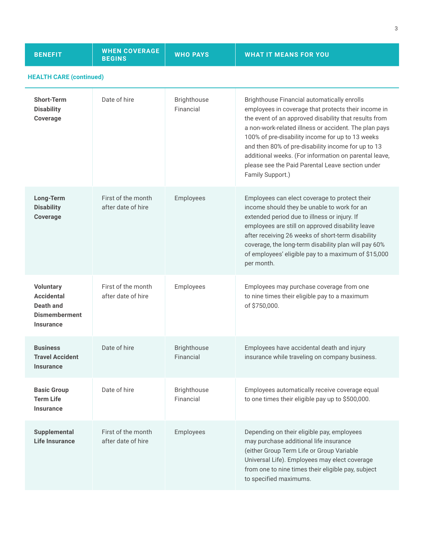| <b>BENEFIT</b>                                                                                 | <b>WHEN COVERAGE</b><br><b>BEGINS</b>    | <b>WHO PAYS</b>                 | <b>WHAT IT MEANS FOR YOU</b>                                                                                                                                                                                                                                                                                                                                                                                                                                    |
|------------------------------------------------------------------------------------------------|------------------------------------------|---------------------------------|-----------------------------------------------------------------------------------------------------------------------------------------------------------------------------------------------------------------------------------------------------------------------------------------------------------------------------------------------------------------------------------------------------------------------------------------------------------------|
| <b>HEALTH CARE (continued)</b>                                                                 |                                          |                                 |                                                                                                                                                                                                                                                                                                                                                                                                                                                                 |
| <b>Short-Term</b><br><b>Disability</b><br>Coverage                                             | Date of hire                             | <b>Brighthouse</b><br>Financial | Brighthouse Financial automatically enrolls<br>employees in coverage that protects their income in<br>the event of an approved disability that results from<br>a non-work-related illness or accident. The plan pays<br>100% of pre-disability income for up to 13 weeks<br>and then 80% of pre-disability income for up to 13<br>additional weeks. (For information on parental leave,<br>please see the Paid Parental Leave section under<br>Family Support.) |
| Long-Term<br><b>Disability</b><br><b>Coverage</b>                                              | First of the month<br>after date of hire | Employees                       | Employees can elect coverage to protect their<br>income should they be unable to work for an<br>extended period due to illness or injury. If<br>employees are still on approved disability leave<br>after receiving 26 weeks of short-term disability<br>coverage, the long-term disability plan will pay 60%<br>of employees' eligible pay to a maximum of \$15,000<br>per month.                                                                              |
| <b>Voluntary</b><br><b>Accidental</b><br>Death and<br><b>Dismemberment</b><br><b>Insurance</b> | First of the month<br>after date of hire | Employees                       | Employees may purchase coverage from one<br>to nine times their eligible pay to a maximum<br>of \$750,000.                                                                                                                                                                                                                                                                                                                                                      |
| <b>Business</b><br><b>Travel Accident</b><br><b>Insurance</b>                                  | Date of hire                             | Brighthouse<br>Financial        | Employees have accidental death and injury<br>insurance while traveling on company business.                                                                                                                                                                                                                                                                                                                                                                    |
| <b>Basic Group</b><br><b>Term Life</b><br><b>Insurance</b>                                     | Date of hire                             | Brighthouse<br>Financial        | Employees automatically receive coverage equal<br>to one times their eligible pay up to \$500,000.                                                                                                                                                                                                                                                                                                                                                              |
| <b>Supplemental</b><br><b>Life Insurance</b>                                                   | First of the month<br>after date of hire | Employees                       | Depending on their eligible pay, employees<br>may purchase additional life insurance<br>(either Group Term Life or Group Variable<br>Universal Life). Employees may elect coverage<br>from one to nine times their eligible pay, subject<br>to specified maximums.                                                                                                                                                                                              |

3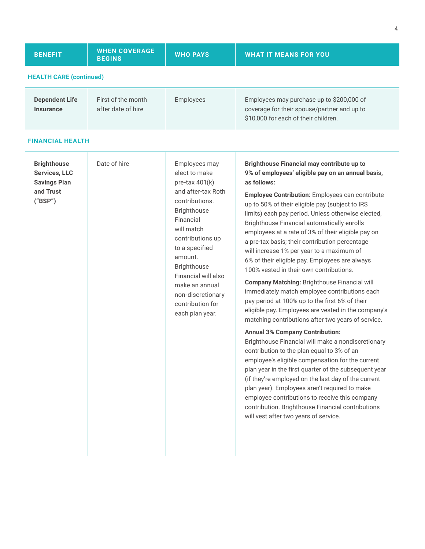| <b>BENEFIT</b>                            | <b>WHEN COVERAGE</b><br><b>BEGINS</b>    | <b>WHO PAYS</b> | <b>WHAT IT MEANS FOR YOU,</b>                                                                                                    |  |
|-------------------------------------------|------------------------------------------|-----------------|----------------------------------------------------------------------------------------------------------------------------------|--|
| <b>HEALTH CARE (continued)</b>            |                                          |                 |                                                                                                                                  |  |
| <b>Dependent Life</b><br><b>Insurance</b> | First of the month<br>after date of hire | Employees       | Employees may purchase up to \$200,000 of<br>coverage for their spouse/partner and up to<br>\$10,000 for each of their children. |  |

#### **FINANCIAL HEALTH**

| <b>Brighthouse</b><br><b>Services, LLC</b><br><b>Savings Plan</b><br>and Trust<br>("BSP") | Date of hire | Employees may<br>elect to make<br>pre-tax 401(k)<br>and after-tax Roth<br>contributions.<br>Brighthouse<br>Financial<br>will match<br>contributions up<br>to a specified<br>amount.<br><b>Brighthouse</b><br>Financial will also<br>make an annual<br>non-discretionary<br>contribution for<br>each plan year. | Brighthouse Financial may contribute up to<br>9% of employees' eligible pay on an annual basis,<br>as follows:<br><b>Employee Contribution:</b> Employees can contribute<br>up to 50% of their eligible pay (subject to IRS<br>limits) each pay period. Unless otherwise elected,<br>Brighthouse Financial automatically enrolls<br>employees at a rate of 3% of their eligible pay on<br>a pre-tax basis; their contribution percentage<br>will increase 1% per year to a maximum of<br>6% of their eligible pay. Employees are always<br>100% vested in their own contributions.<br><b>Company Matching: Brighthouse Financial will</b><br>immediately match employee contributions each<br>pay period at 100% up to the first 6% of their<br>eligible pay. Employees are vested in the company's<br>matching contributions after two years of service.<br><b>Annual 3% Company Contribution:</b><br>Brighthouse Financial will make a nondiscretionary<br>contribution to the plan equal to 3% of an<br>employee's eligible compensation for the current |
|-------------------------------------------------------------------------------------------|--------------|----------------------------------------------------------------------------------------------------------------------------------------------------------------------------------------------------------------------------------------------------------------------------------------------------------------|-------------------------------------------------------------------------------------------------------------------------------------------------------------------------------------------------------------------------------------------------------------------------------------------------------------------------------------------------------------------------------------------------------------------------------------------------------------------------------------------------------------------------------------------------------------------------------------------------------------------------------------------------------------------------------------------------------------------------------------------------------------------------------------------------------------------------------------------------------------------------------------------------------------------------------------------------------------------------------------------------------------------------------------------------------------|
|                                                                                           |              |                                                                                                                                                                                                                                                                                                                | plan year in the first quarter of the subsequent year<br>(if they're employed on the last day of the current<br>plan year). Employees aren't required to make<br>employee contributions to receive this company<br>contribution. Brighthouse Financial contributions<br>will vest after two years of service.                                                                                                                                                                                                                                                                                                                                                                                                                                                                                                                                                                                                                                                                                                                                               |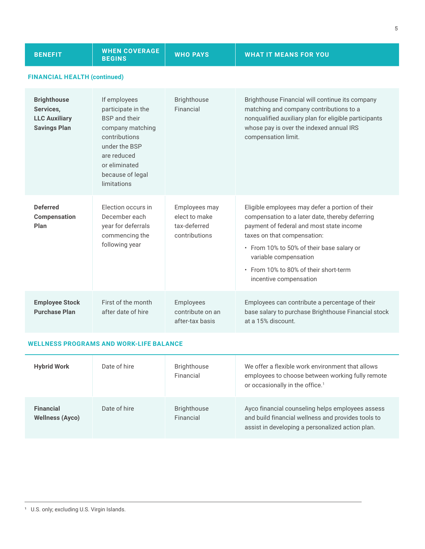| <b>BENEFIT</b>                                                                 | <b>WHEN COVERAGE</b><br><b>BEGINS</b>                                                                                                                                               | <b>WHO PAYS</b>                                                 | <b>WHAT IT MEANS FOR YOU</b>                                                                                                                                                                                                                                                                                           |
|--------------------------------------------------------------------------------|-------------------------------------------------------------------------------------------------------------------------------------------------------------------------------------|-----------------------------------------------------------------|------------------------------------------------------------------------------------------------------------------------------------------------------------------------------------------------------------------------------------------------------------------------------------------------------------------------|
| <b>FINANCIAL HEALTH (continued)</b>                                            |                                                                                                                                                                                     |                                                                 |                                                                                                                                                                                                                                                                                                                        |
| <b>Brighthouse</b><br>Services,<br><b>LLC Auxiliary</b><br><b>Savings Plan</b> | If employees<br>participate in the<br><b>BSP</b> and their<br>company matching<br>contributions<br>under the BSP<br>are reduced<br>or eliminated<br>because of legal<br>limitations | <b>Brighthouse</b><br>Financial                                 | Brighthouse Financial will continue its company<br>matching and company contributions to a<br>nonqualified auxiliary plan for eligible participants<br>whose pay is over the indexed annual IRS<br>compensation limit.                                                                                                 |
| <b>Deferred</b><br><b>Compensation</b><br>Plan                                 | <b>Election occurs in</b><br>December each<br>year for deferrals<br>commencing the<br>following year                                                                                | Employees may<br>elect to make<br>tax-deferred<br>contributions | Eligible employees may defer a portion of their<br>compensation to a later date, thereby deferring<br>payment of federal and most state income<br>taxes on that compensation:<br>• From 10% to 50% of their base salary or<br>variable compensation<br>• From 10% to 80% of their short-term<br>incentive compensation |
| <b>Employee Stock</b><br><b>Purchase Plan</b>                                  | First of the month<br>after date of hire                                                                                                                                            | Employees<br>contribute on an<br>after-tax basis                | Employees can contribute a percentage of their<br>base salary to purchase Brighthouse Financial stock<br>at a 15% discount.                                                                                                                                                                                            |

### **WELLNESS PROGRAMS AND WORK-LIFE BALANCE**

| <b>Hybrid Work</b>                         | Date of hire | <b>Brighthouse</b><br>Financial | We offer a flexible work environment that allows<br>employees to choose between working fully remote<br>or occasionally in the office. <sup>1</sup>        |
|--------------------------------------------|--------------|---------------------------------|------------------------------------------------------------------------------------------------------------------------------------------------------------|
| <b>Financial</b><br><b>Wellness (Ayco)</b> | Date of hire | <b>Brighthouse</b><br>Financial | Ayco financial counseling helps employees assess<br>and build financial wellness and provides tools to<br>assist in developing a personalized action plan. |

<sup>&</sup>lt;sup>1</sup> U.S. only; excluding U.S. Virgin Islands.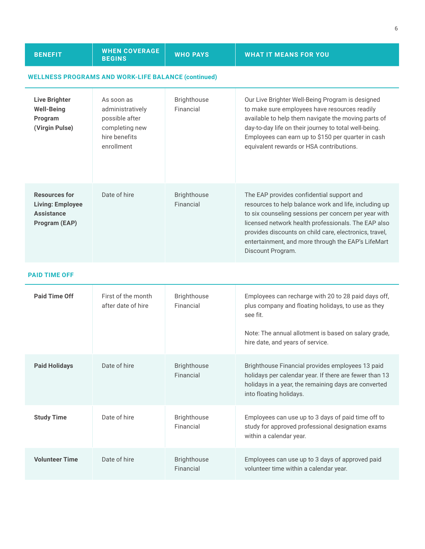| <b>BENEFIT</b>                                                                        | <b>WHEN COVERAGE</b><br><b>BEGINS</b>                                                             | <b>WHO PAYS</b>                 | <b>WHAT IT MEANS FOR YOU</b>                                                                                                                                                                                                                                                                                                                           |  |
|---------------------------------------------------------------------------------------|---------------------------------------------------------------------------------------------------|---------------------------------|--------------------------------------------------------------------------------------------------------------------------------------------------------------------------------------------------------------------------------------------------------------------------------------------------------------------------------------------------------|--|
|                                                                                       | <b>WELLNESS PROGRAMS AND WORK-LIFE BALANCE (continued)</b>                                        |                                 |                                                                                                                                                                                                                                                                                                                                                        |  |
| <b>Live Brighter</b><br><b>Well-Being</b><br>Program<br>(Virgin Pulse)                | As soon as<br>administratively<br>possible after<br>completing new<br>hire benefits<br>enrollment | <b>Brighthouse</b><br>Financial | Our Live Brighter Well-Being Program is designed<br>to make sure employees have resources readily<br>available to help them navigate the moving parts of<br>day-to-day life on their journey to total well-being.<br>Employees can earn up to \$150 per quarter in cash<br>equivalent rewards or HSA contributions.                                    |  |
| <b>Resources for</b><br><b>Living: Employee</b><br><b>Assistance</b><br>Program (EAP) | Date of hire                                                                                      | <b>Brighthouse</b><br>Financial | The EAP provides confidential support and<br>resources to help balance work and life, including up<br>to six counseling sessions per concern per year with<br>licensed network health professionals. The EAP also<br>provides discounts on child care, electronics, travel,<br>entertainment, and more through the EAP's LifeMart<br>Discount Program. |  |
| <b>PAID TIME OFF</b>                                                                  |                                                                                                   |                                 |                                                                                                                                                                                                                                                                                                                                                        |  |
| <b>Paid Time Off</b>                                                                  | First of the month<br>after date of hire                                                          | <b>Brighthouse</b><br>Financial | Employees can recharge with 20 to 28 paid days off,<br>plus company and floating holidays, to use as they<br>see fit.                                                                                                                                                                                                                                  |  |
|                                                                                       |                                                                                                   |                                 | Matar The complete allation and in began a sense and one would                                                                                                                                                                                                                                                                                         |  |

| <b>Paid Time Off</b>  | First of the month<br>after date of hire | <b>Brighthouse</b><br>Financial | Employees can recharge with 20 to 28 paid days off,<br>plus company and floating holidays, to use as they<br>see fit.<br>Note: The annual allotment is based on salary grade,<br>hire date, and years of service. |
|-----------------------|------------------------------------------|---------------------------------|-------------------------------------------------------------------------------------------------------------------------------------------------------------------------------------------------------------------|
| <b>Paid Holidays</b>  | Date of hire                             | <b>Brighthouse</b><br>Financial | Brighthouse Financial provides employees 13 paid<br>holidays per calendar year. If there are fewer than 13<br>holidays in a year, the remaining days are converted<br>into floating holidays.                     |
| <b>Study Time</b>     | Date of hire                             | <b>Brighthouse</b><br>Financial | Employees can use up to 3 days of paid time off to<br>study for approved professional designation exams<br>within a calendar year.                                                                                |
| <b>Volunteer Time</b> | Date of hire                             | <b>Brighthouse</b><br>Financial | Employees can use up to 3 days of approved paid<br>volunteer time within a calendar year.                                                                                                                         |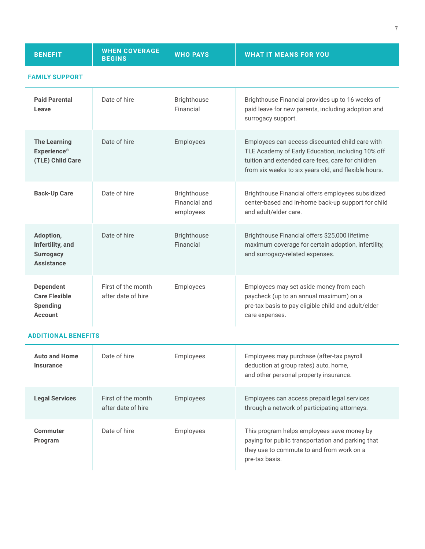| <b>BENEFIT</b>                                                                | <b>WHEN COVERAGE</b><br><b>BEGINS</b>    | <b>WHO PAYS</b>                                  | <b>WHAT IT MEANS FOR YOU</b>                                                                                                                                                                                      |
|-------------------------------------------------------------------------------|------------------------------------------|--------------------------------------------------|-------------------------------------------------------------------------------------------------------------------------------------------------------------------------------------------------------------------|
| <b>FAMILY SUPPORT</b>                                                         |                                          |                                                  |                                                                                                                                                                                                                   |
| <b>Paid Parental</b><br>Leave                                                 | Date of hire                             | <b>Brighthouse</b><br>Financial                  | Brighthouse Financial provides up to 16 weeks of<br>paid leave for new parents, including adoption and<br>surrogacy support.                                                                                      |
| <b>The Learning</b><br><b>Experience®</b><br>(TLE) Child Care                 | Date of hire                             | Employees                                        | Employees can access discounted child care with<br>TLE Academy of Early Education, including 10% off<br>tuition and extended care fees, care for children<br>from six weeks to six years old, and flexible hours. |
| <b>Back-Up Care</b>                                                           | Date of hire                             | <b>Brighthouse</b><br>Financial and<br>employees | Brighthouse Financial offers employees subsidized<br>center-based and in-home back-up support for child<br>and adult/elder care.                                                                                  |
| Adoption,<br>Infertility, and<br><b>Surrogacy</b><br><b>Assistance</b>        | Date of hire                             | <b>Brighthouse</b><br>Financial                  | Brighthouse Financial offers \$25,000 lifetime<br>maximum coverage for certain adoption, infertility,<br>and surrogacy-related expenses.                                                                          |
| <b>Dependent</b><br><b>Care Flexible</b><br><b>Spending</b><br><b>Account</b> | First of the month<br>after date of hire | Employees                                        | Employees may set aside money from each<br>paycheck (up to an annual maximum) on a<br>pre-tax basis to pay eligible child and adult/elder<br>care expenses.                                                       |

#### **ADDITIONAL BENEFITS**

| <b>Auto and Home</b><br><b>Insurance</b> | Date of hire                             | Employees | Employees may purchase (after-tax payroll<br>deduction at group rates) auto, home,<br>and other personal property insurance.                                   |
|------------------------------------------|------------------------------------------|-----------|----------------------------------------------------------------------------------------------------------------------------------------------------------------|
| <b>Legal Services</b>                    | First of the month<br>after date of hire | Employees | Employees can access prepaid legal services<br>through a network of participating attorneys.                                                                   |
| Commuter<br>Program                      | Date of hire                             | Employees | This program helps employees save money by<br>paying for public transportation and parking that<br>they use to commute to and from work on a<br>pre-tax basis. |